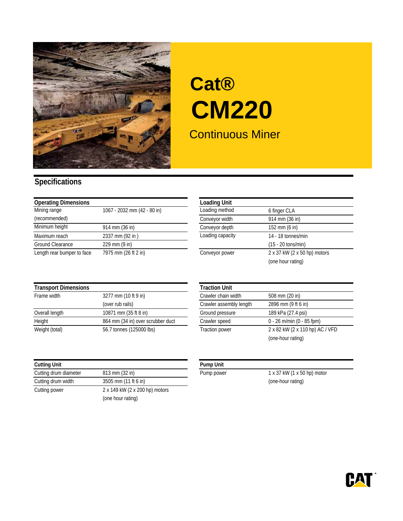

## Continuous Miner **Cat® CM220**

## **Specifications**

| <b>Operating Dimensions</b> |                                 | <b>Loading Unit</b> |                              |
|-----------------------------|---------------------------------|---------------------|------------------------------|
| Mining range                | 1067 - 2032 mm (42 - 80 in)     | Loading method      | 6 finger CLA                 |
| (recommended)               |                                 | Conveyor width      | 914 mm (36 in)               |
| Minimum height              | 914 mm (36 in)                  | Conveyor depth      | 152 mm (6 in)                |
| Maximum reach               | 2337 mm (92 in)                 | Loading capacity    | 14 - 18 tonnes/min           |
| Ground Clearance            | $229 \text{ mm} (9 \text{ in})$ |                     | $(15 - 20 \text{ tons/min})$ |
| Length rear bumper to face  | 7975 mm (26 ft 2 in)            | Conveyor power      | 2 x 37 kW (2 x 50 hp) motors |

| <b>Loading Unit</b> |                              |
|---------------------|------------------------------|
| Loading method      | 6 finger CLA                 |
| Conveyor width      | 914 mm (36 in)               |
| Conveyor depth      | 152 mm (6 in)                |
| Loading capacity    | 14 - 18 tonnes/min           |
|                     | $(15 - 20 \text{ tons/min})$ |
| Conveyor power      | 2 x 37 kW (2 x 50 hp) motors |
|                     | (one hour rating)            |

| <b>Transport Dimensions</b> |                                   | <b>Traction Unit</b>    |                                 |
|-----------------------------|-----------------------------------|-------------------------|---------------------------------|
| Frame width                 | 3277 mm (10 ft 9 in)              | Crawler chain width     | 508 mm (20 in)                  |
|                             | (over rub rails)                  | Crawler assembly length | 2896 mm (9 ft 6 in)             |
| Overall length              | 10871 mm (35 ft 8 in)             | Ground pressure         | 189 kPa (27.4 psi)              |
| Height                      | 864 mm (34 in) over scrubber duct | Crawler speed           | $0 - 26$ m/min (0 - 85 fpm)     |
| Weight (total)              | 56.7 tonnes (125000 lbs)          | <b>Traction power</b>   | 2 x 82 kW (2 x 110 hp) AC / VFD |

| <b>Cutting Unit</b>   |                                | <b>Pump Unit</b> |
|-----------------------|--------------------------------|------------------|
| Cutting drum diameter | 813 mm (32 in)                 | Pump powe        |
| Cutting drum width    | 3505 mm (11 ft 6 in)           |                  |
| Cutting power         | 2 x 149 kW (2 x 200 hp) motors |                  |
|                       | (one hour rating)              |                  |

|                                   | <b>Traction Unit</b>    |                                 |
|-----------------------------------|-------------------------|---------------------------------|
| 3277 mm (10 ft 9 in)              | Crawler chain width     | 508 mm (20 in)                  |
| (over rub rails)                  | Crawler assembly length | 2896 mm (9 ft 6 in)             |
| 10871 mm (35 ft 8 in)             | Ground pressure         | 189 kPa (27.4 psi)              |
| 864 mm (34 in) over scrubber duct | Crawler speed           | $0 - 26$ m/min (0 - 85 fpm)     |
| 56.7 tonnes (125000 lbs)          | <b>Traction power</b>   | 2 x 82 kW (2 x 110 hp) AC / VFD |
|                                   |                         | (one-hour rating)               |
|                                   |                         |                                 |

Pump power 1 x 37 kW (1 x 50 hp) motor (one-hour rating)

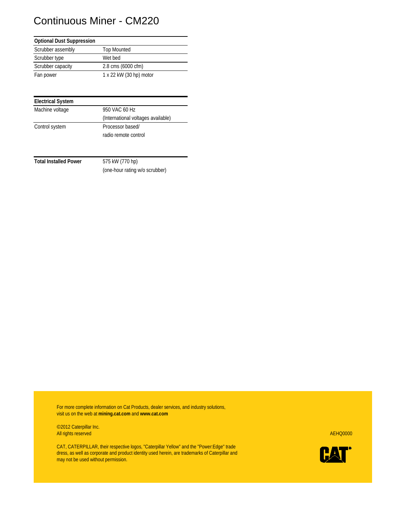## Continuous Miner - CM220

| <b>Optional Dust Suppression</b> |                         |
|----------------------------------|-------------------------|
| Scrubber assembly                | <b>Top Mounted</b>      |
| Scrubber type                    | Wet bed                 |
| Scrubber capacity                | 2.8 cms (6000 cfm)      |
| Fan power                        | 1 x 22 kW (30 hp) motor |

| <b>Electrical System</b> |                                    |
|--------------------------|------------------------------------|
| Machine voltage          | 950 VAC 60 Hz                      |
|                          | (International voltages available) |
| Control system           | Processor based/                   |
|                          | radio remote control               |

**Total Installed Power** 575 kW (770 hp)

(one-hour rating w/o scrubber)

For more complete information on Cat Products, dealer services, and industry solutions, visit us on the web at **mining.cat.com** and **www.cat.com**

©2012 Caterpillar Inc. All rights reserved AEHQ0000

CAT, CATERPILLAR, their respective logos, "Caterpillar Yellow" and the "Power:Edge" trade dress, as well as corporate and product identity used herein, are trademarks of Caterpillar and may not be used without permission.